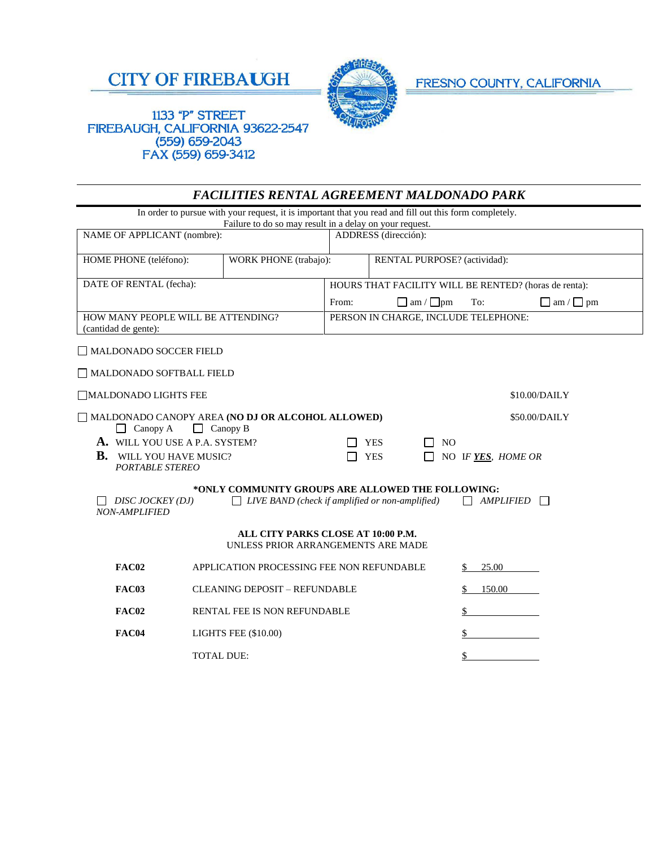



FRESNO COUNTY, CALIFORNIA

## 1133 "P" STREET FIREBAUGH, CALIFORNIA 93622-2547  $(559) 659 - 2043$ FAX (559) 659-3412

|                                                                                        | <b>FACILITIES RENTAL AGREEMENT MALDONADO PARK</b>                                                                                                                 |       |                                                       |                         |                       |  |  |  |
|----------------------------------------------------------------------------------------|-------------------------------------------------------------------------------------------------------------------------------------------------------------------|-------|-------------------------------------------------------|-------------------------|-----------------------|--|--|--|
|                                                                                        | In order to pursue with your request, it is important that you read and fill out this form completely.<br>Failure to do so may result in a delay on your request. |       |                                                       |                         |                       |  |  |  |
| NAME OF APPLICANT (nombre):                                                            |                                                                                                                                                                   |       | ADDRESS (dirección):                                  |                         |                       |  |  |  |
| HOME PHONE (teléfono):                                                                 | <b>WORK PHONE</b> (trabajo):                                                                                                                                      |       | RENTAL PURPOSE? (actividad):                          |                         |                       |  |  |  |
| DATE OF RENTAL (fecha):                                                                |                                                                                                                                                                   |       | HOURS THAT FACILITY WILL BE RENTED? (horas de renta): |                         |                       |  |  |  |
|                                                                                        |                                                                                                                                                                   | From: | $\Box$ am / $\Box$ pm                                 | To:                     | $\Box$ am / $\Box$ pm |  |  |  |
| HOW MANY PEOPLE WILL BE ATTENDING?<br>(cantidad de gente):                             |                                                                                                                                                                   |       | PERSON IN CHARGE, INCLUDE TELEPHONE:                  |                         |                       |  |  |  |
| □ MALDONADO SOCCER FIELD                                                               |                                                                                                                                                                   |       |                                                       |                         |                       |  |  |  |
| MALDONADO SOFTBALL FIELD                                                               |                                                                                                                                                                   |       |                                                       |                         |                       |  |  |  |
| MALDONADO LIGHTS FEE                                                                   |                                                                                                                                                                   |       | \$10.00/DAILY                                         |                         |                       |  |  |  |
| MALDONADO CANOPY AREA (NO DJ OR ALCOHOL ALLOWED)<br>$\Box$ Canopy A<br>$\Box$ Canopy B |                                                                                                                                                                   |       | \$50.00/DAILY                                         |                         |                       |  |  |  |
| A. WILL YOU USE A P.A. SYSTEM?                                                         |                                                                                                                                                                   |       | <b>YES</b><br>N <sub>O</sub>                          |                         |                       |  |  |  |
| В.<br>WILL YOU HAVE MUSIC?<br><b>PORTABLE STEREO</b>                                   |                                                                                                                                                                   |       | <b>YES</b>                                            | NO IF YES, HOME OR      |                       |  |  |  |
|                                                                                        | *ONLY COMMUNITY GROUPS ARE ALLOWED THE FOLLOWING:                                                                                                                 |       |                                                       |                         |                       |  |  |  |
| DISC JOCKEY (DJ)<br><b>NON-AMPLIFIED</b>                                               | $\Box$ LIVE BAND (check if amplified or non-amplified)                                                                                                            |       |                                                       | $\Box$ AMPLIFIED $\Box$ |                       |  |  |  |
|                                                                                        | ALL CITY PARKS CLOSE AT 10:00 P.M.<br>UNLESS PRIOR ARRANGEMENTS ARE MADE                                                                                          |       |                                                       |                         |                       |  |  |  |
| FAC02                                                                                  | APPLICATION PROCESSING FEE NON REFUNDABLE                                                                                                                         |       |                                                       | 25.00                   |                       |  |  |  |
| FAC03                                                                                  | <b>CLEANING DEPOSIT - REFUNDABLE</b>                                                                                                                              |       |                                                       | 150.00<br>\$            |                       |  |  |  |
| <b>FAC02</b>                                                                           | RENTAL FEE IS NON REFUNDABLE                                                                                                                                      |       |                                                       |                         |                       |  |  |  |
| <b>FAC04</b>                                                                           | <b>LIGHTS FEE (\$10.00)</b>                                                                                                                                       |       |                                                       |                         |                       |  |  |  |
|                                                                                        | <b>TOTAL DUE:</b>                                                                                                                                                 |       |                                                       |                         |                       |  |  |  |